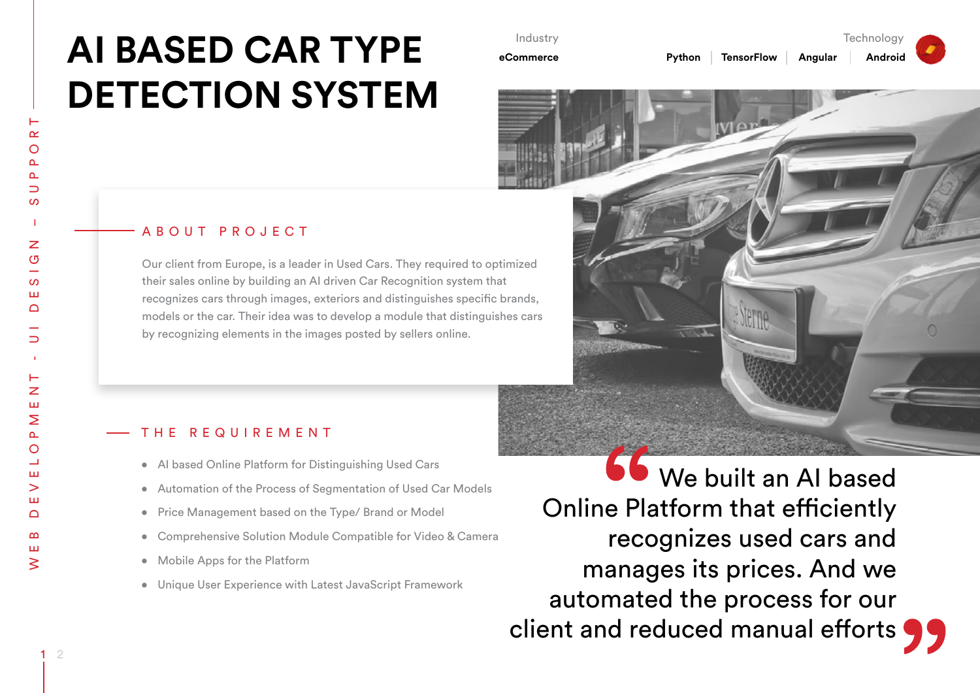# **AI BASED CAR TYPE DETECTION SYSTEM**

### ABOUT PROJECT

Our client from Europe, is a leader in Used Cars. They required to optimized their sales online by building an AI driven Car Recognition system that recognizes cars through images, exteriors and distinguishes specific brands, models or the car. Their idea was to develop a module that distinguishes cars by recognizing elements in the images posted by sellers online.

Industry **eCommerce**

#### THE REQUIREMENT

- AI based Online Platform for Distinguishing Used Cars
- Automation of the Process of Segmentation of Used Car Models
- Price Management based on the Type/ Brand or Model
- Comprehensive Solution Module Compatible for Video & Camera
- Mobile Apps for the Platform
- • Unique User Experience with Latest JavaScript Framework

 We built an AI based Online Platform that efficiently recognizes used cars and manages its prices. And we automated the process for our client and reduced manual efforts  $\bigcirc$ 

Technology

**Python TensorFlow Angular Android**